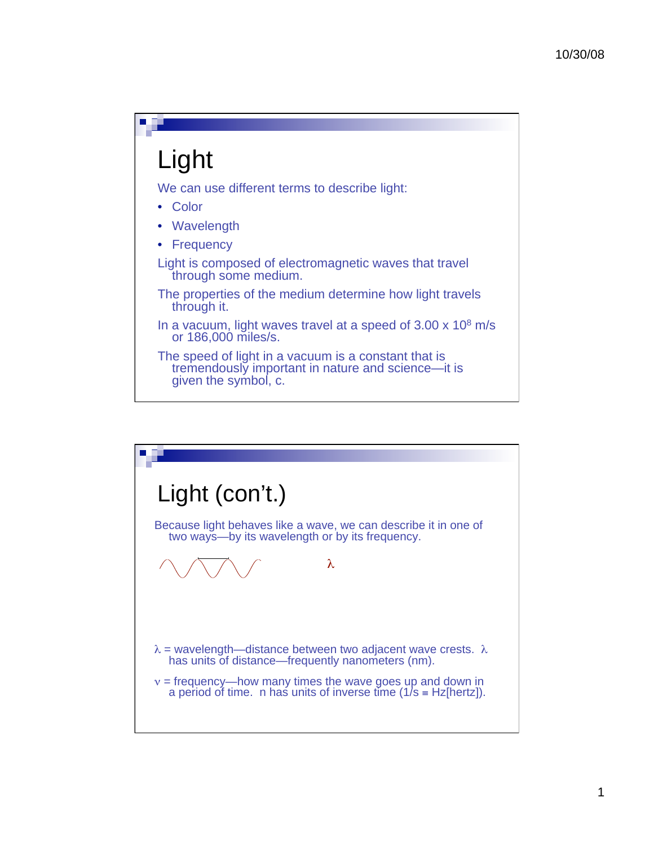## Light

We can use different terms to describe light:

- Color
- Wavelength
- Frequency
- Light is composed of electromagnetic waves that travel through some medium.
- The properties of the medium determine how light travels through it.
- In a vacuum, light waves travel at a speed of  $3.00 \times 10^8$  m/s or 186,000 miles/s.

The speed of light in a vacuum is a constant that is tremendously important in nature and science—it is given the symbol, c.

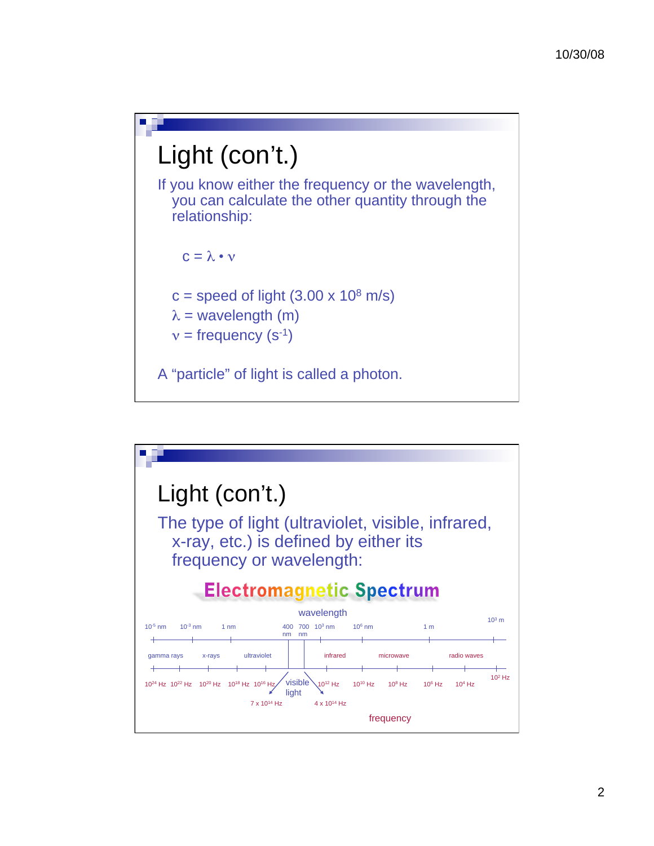

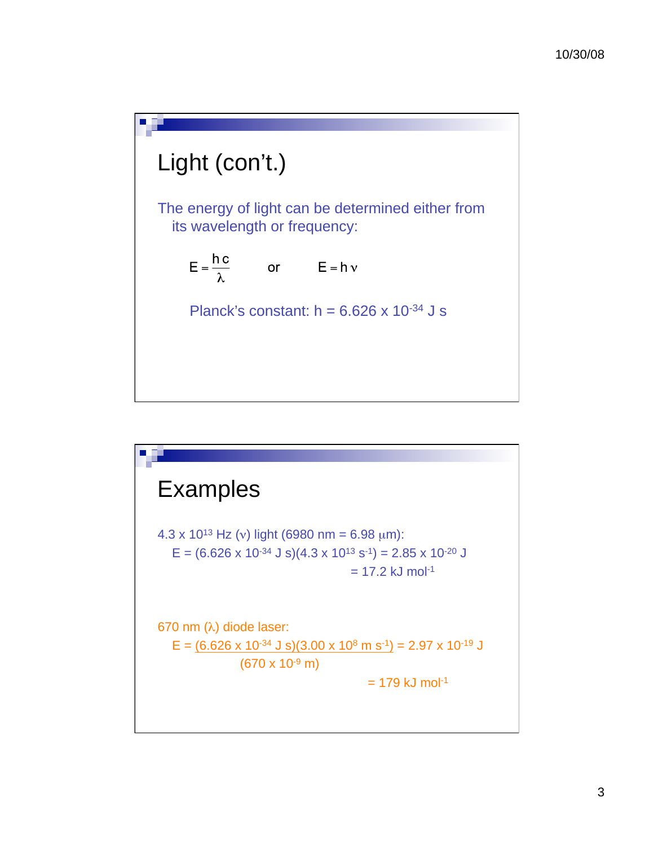## Light (con't.)

The energy of light can be determined either from its wavelength or frequency:

$$
E = \frac{hc}{\lambda} \qquad \text{or} \qquad E = h v
$$

Planck's constant:  $h = 6.626 \times 10^{-34}$  J s

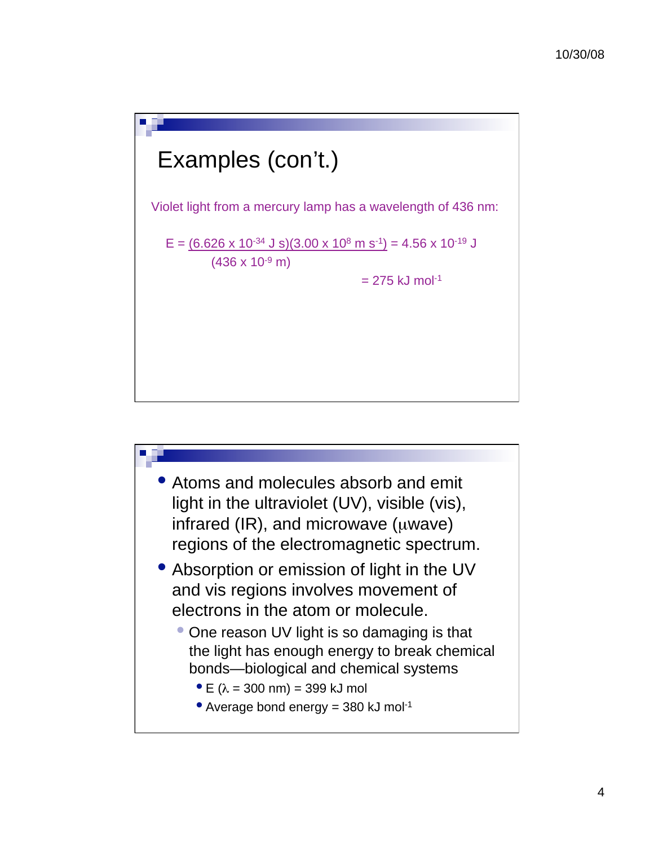

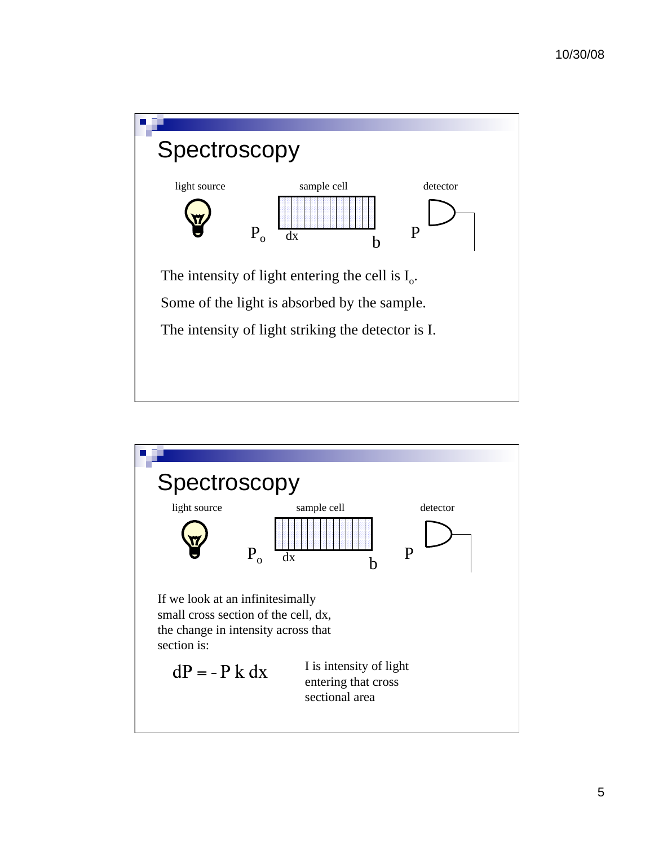

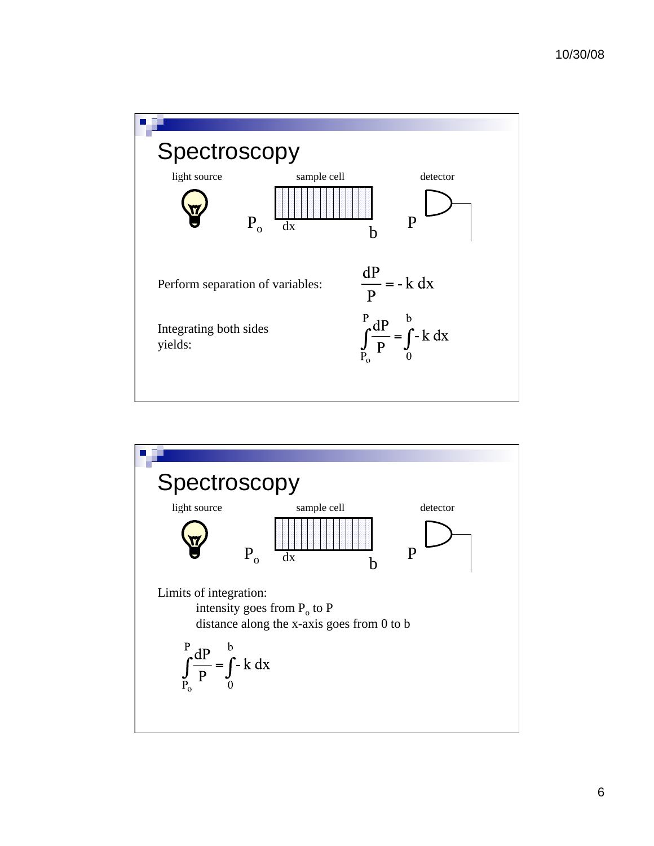

![](_page_5_Figure_2.jpeg)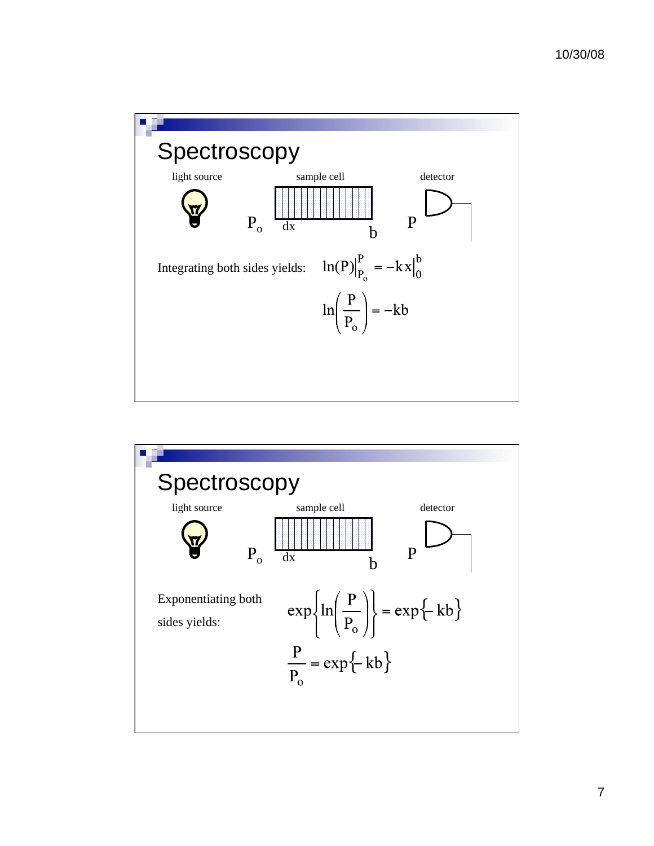![](_page_6_Figure_1.jpeg)

![](_page_6_Figure_2.jpeg)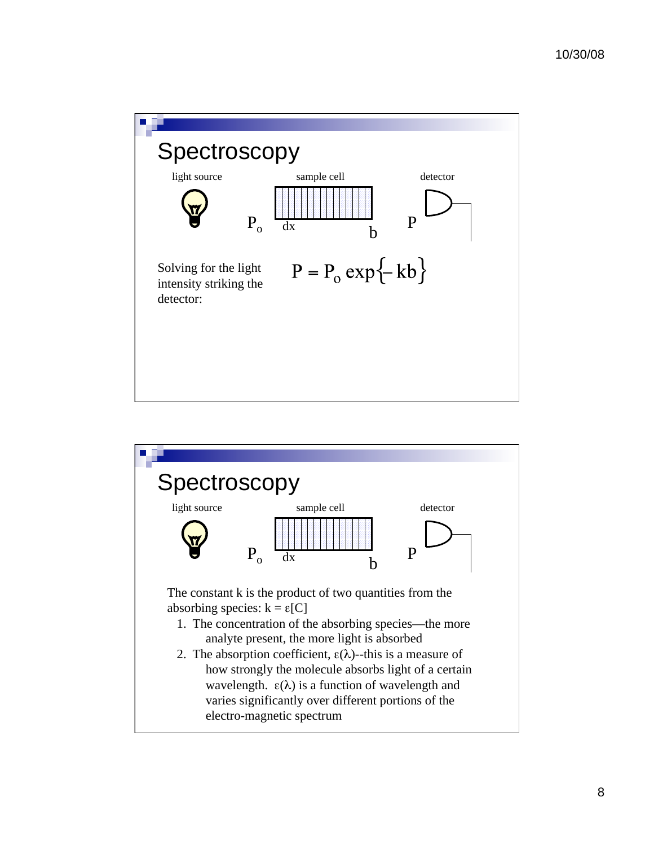![](_page_7_Figure_1.jpeg)

![](_page_7_Figure_2.jpeg)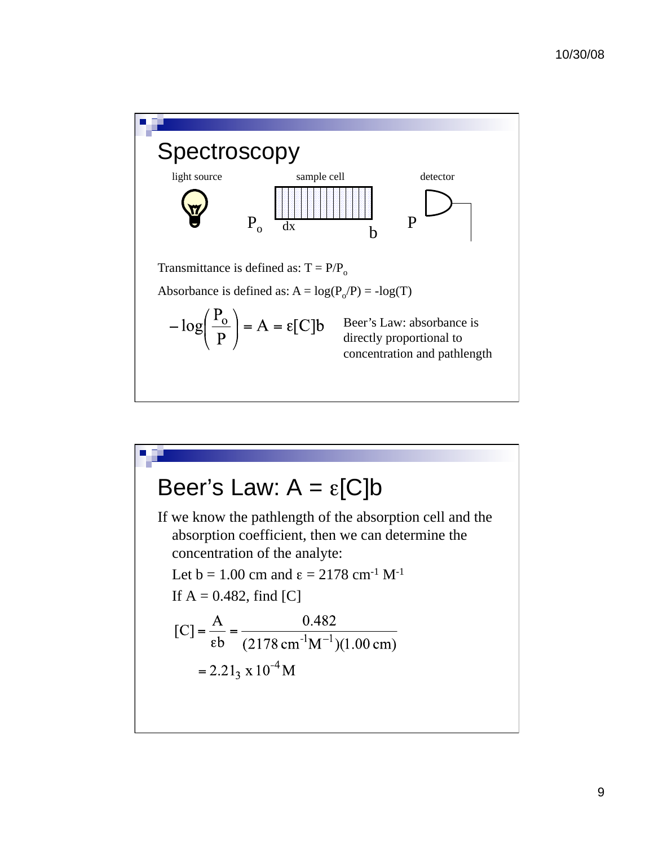![](_page_8_Figure_1.jpeg)

# Beer's Law:  $A = \varepsilon$ [C]b If we know the pathlength of the absorption cell and the absorption coefficient, then we can determine the concentration of the analyte: Let  $b = 1.00$  cm and  $\epsilon = 2178$  cm<sup>-1</sup> M<sup>-1</sup> If  $A = 0.482$ , find [C]  $[C] = \frac{A}{\epsilon b} = \frac{0.482}{(2178 \text{ cm}^{-1}\text{M}^{-1})(1.00 \text{ cm})}$  $= 2.21_3 \times 10^{-4}$  M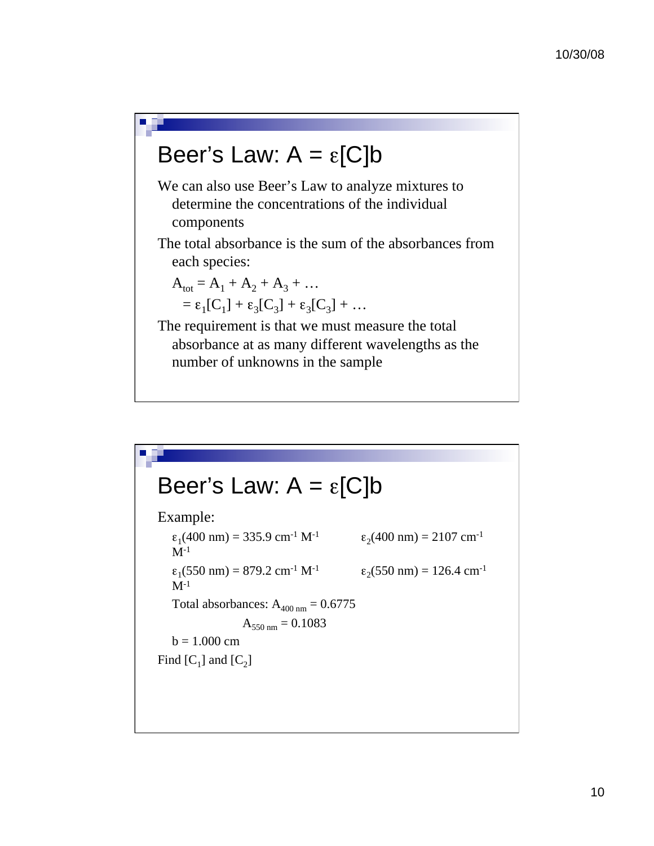### Beer's Law:  $A = \varepsilon$ [C]b

We can also use Beer's Law to analyze mixtures to determine the concentrations of the individual components

The total absorbance is the sum of the absorbances from each species:

$$
A_{\text{tot}} = A_1 + A_2 + A_3 + \dots
$$
  
=  $\epsilon_1 [C_1] + \epsilon_3 [C_3] + \epsilon_3 [C_3] + \dots$ 

The requirement is that we must measure the total absorbance at as many different wavelengths as the number of unknowns in the sample

### Beer's Law:  $A = \varepsilon$ [C]b

Example:  $\epsilon_1$ (400 nm) = 335.9 cm<sup>-1</sup> M<sup>-1</sup>  $\epsilon_2$ (400 nm) = 2107 cm<sup>-1</sup>  $M^{-1}$  $\varepsilon_1$ (550 nm) = 879.2 cm<sup>-1</sup> M<sup>-1</sup>  $\varepsilon_2$ (550 nm) = 126.4 cm<sup>-1</sup>  $M^{-1}$ Total absorbances:  $A_{400 \text{ nm}} = 0.6775$  $A_{550 \text{ nm}} = 0.1083$  $b = 1.000$  cm Find  $[C_1]$  and  $[C_2]$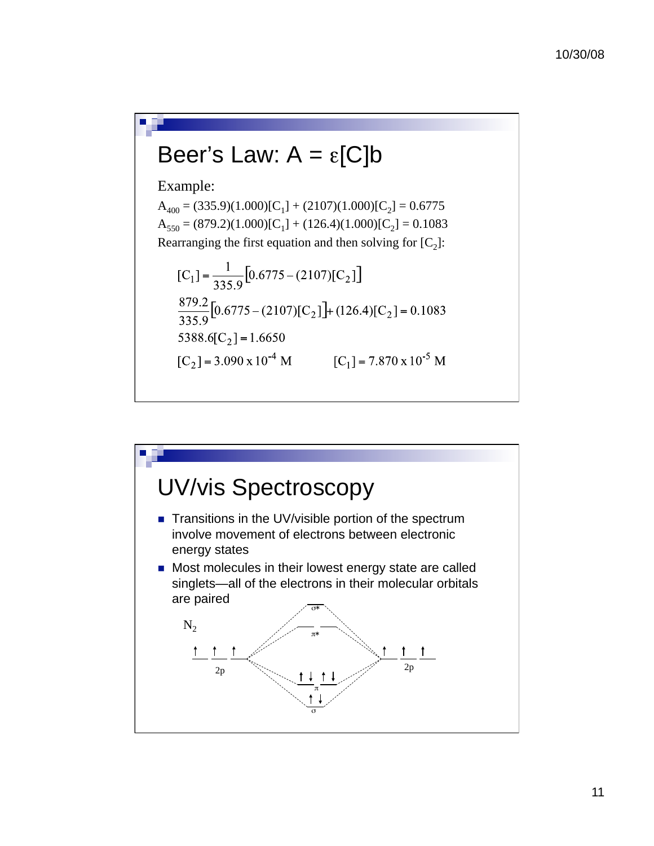## Beer's Law:  $A = \varepsilon$ [C]b

Example:

 $A_{400} = (335.9)(1.000)[C_1] + (2107)(1.000)[C_2] = 0.6775$  $A_{550} = (879.2)(1.000)[C_1] + (126.4)(1.000)[C_2] = 0.1083$ Rearranging the first equation and then solving for  $[C_2]$ :

$$
[C_1] = \frac{1}{335.9} [0.6775 - (2107)[C_2]]
$$
  
\n
$$
\frac{879.2}{335.9} [0.6775 - (2107)[C_2]] + (126.4)[C_2] = 0.1083
$$
  
\n5388.6[C<sub>2</sub>] = 1.6650  
\n[C<sub>2</sub>] = 3.090 x 10<sup>-4</sup> M [C<sub>1</sub>] = 7.870 x 10<sup>-5</sup> M

![](_page_10_Figure_5.jpeg)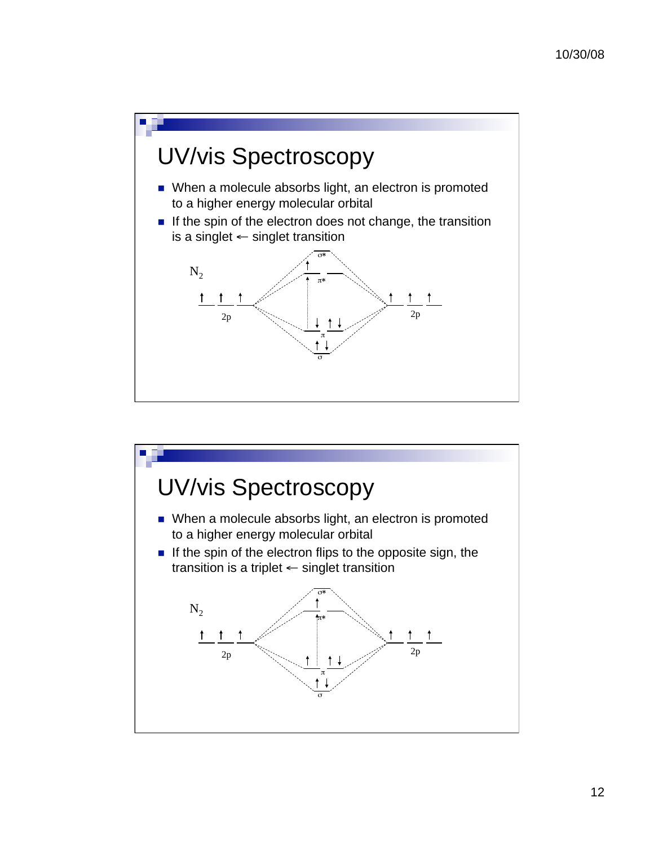![](_page_11_Figure_1.jpeg)

![](_page_11_Figure_2.jpeg)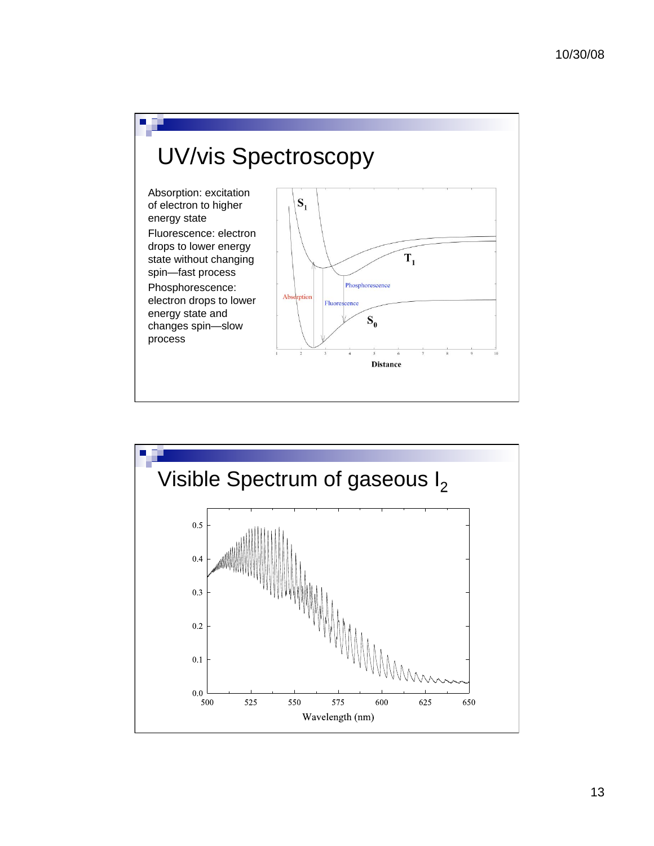![](_page_12_Figure_1.jpeg)

![](_page_12_Figure_2.jpeg)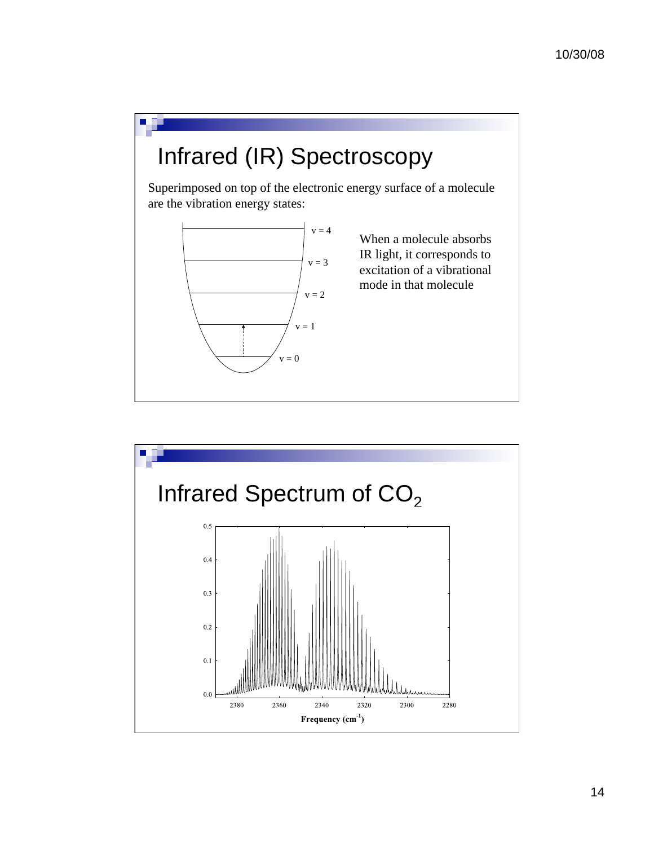![](_page_13_Figure_1.jpeg)

![](_page_13_Figure_2.jpeg)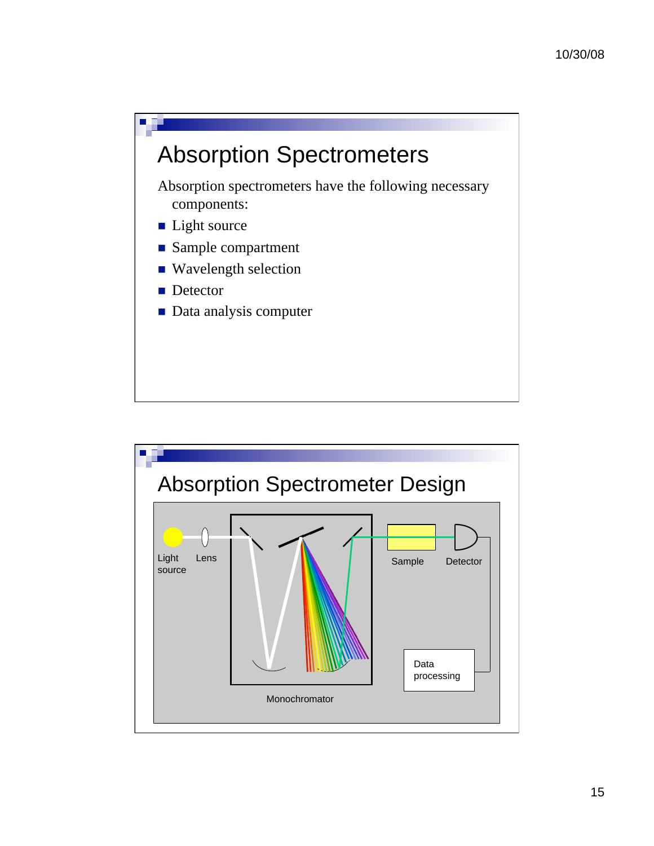![](_page_14_Figure_1.jpeg)

Absorption spectrometers have the following necessary components:

- **Light source**
- Sample compartment
- Wavelength selection
- Detector

Ē.

**Data analysis computer** 

![](_page_14_Figure_8.jpeg)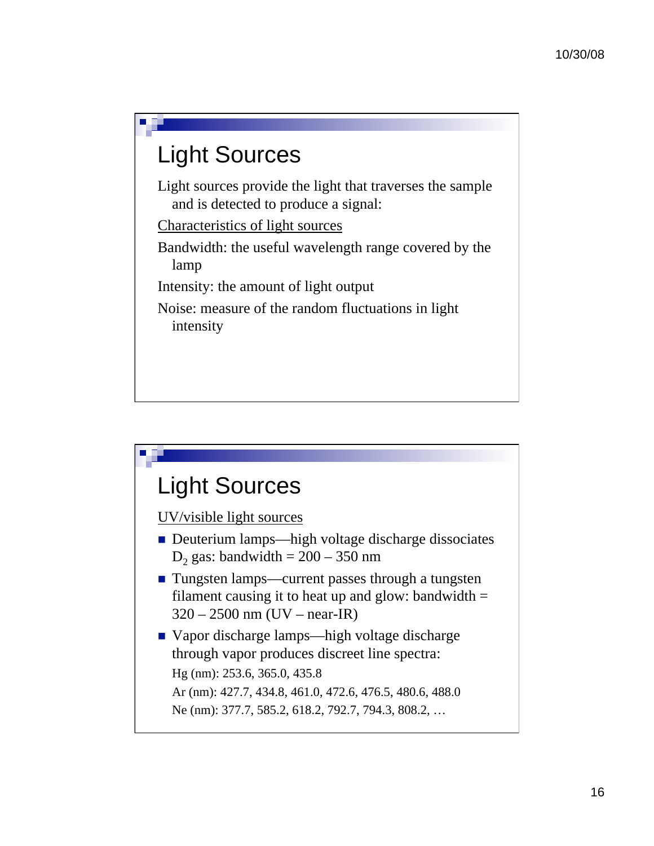## Light Sources

Light sources provide the light that traverses the sample and is detected to produce a signal:

Characteristics of light sources

Bandwidth: the useful wavelength range covered by the lamp

Intensity: the amount of light output

Noise: measure of the random fluctuations in light intensity

## Light Sources

UV/visible light sources

- Deuterium lamps—high voltage discharge dissociates D<sub>2</sub> gas: bandwidth  $= 200 - 350$  nm
- Tungsten lamps—current passes through a tungsten filament causing it to heat up and glow: bandwidth  $=$ 320 – 2500 nm (UV – near-IR)
- Vapor discharge lamps—high voltage discharge through vapor produces discreet line spectra: Hg (nm): 253.6, 365.0, 435.8 Ar (nm): 427.7, 434.8, 461.0, 472.6, 476.5, 480.6, 488.0 Ne (nm): 377.7, 585.2, 618.2, 792.7, 794.3, 808.2, …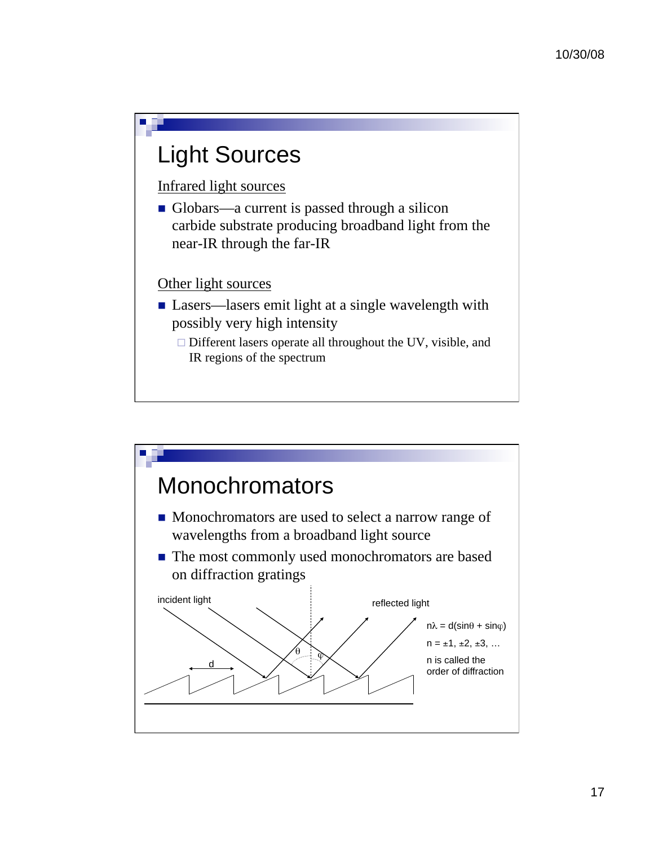### Light Sources

Infrared light sources

Globars—a current is passed through a silicon carbide substrate producing broadband light from the near-IR through the far-IR

#### Other light sources

- **Lasers**—lasers emit light at a single wavelength with possibly very high intensity
	- □ Different lasers operate all throughout the UV, visible, and IR regions of the spectrum

![](_page_16_Figure_7.jpeg)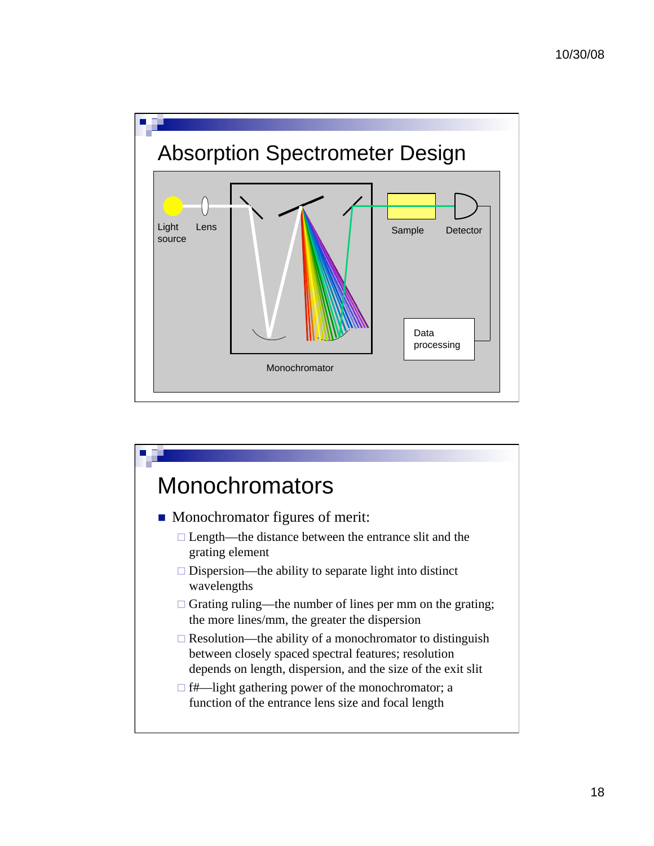![](_page_17_Figure_1.jpeg)

![](_page_17_Figure_2.jpeg)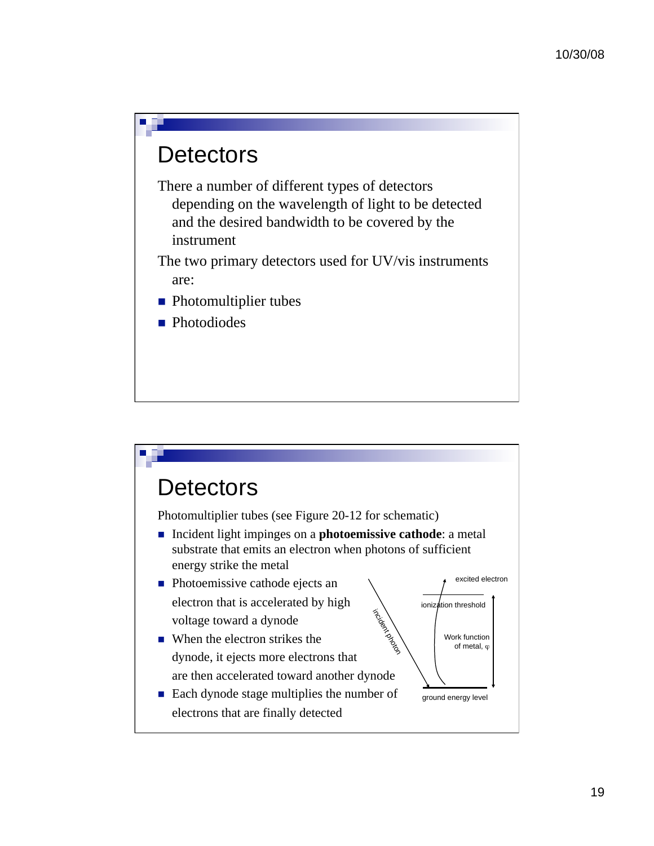## **Detectors**

П

There a number of different types of detectors depending on the wavelength of light to be detected and the desired bandwidth to be covered by the instrument

The two primary detectors used for UV/vis instruments are:

- Photomultiplier tubes
- **Photodiodes**

![](_page_18_Figure_6.jpeg)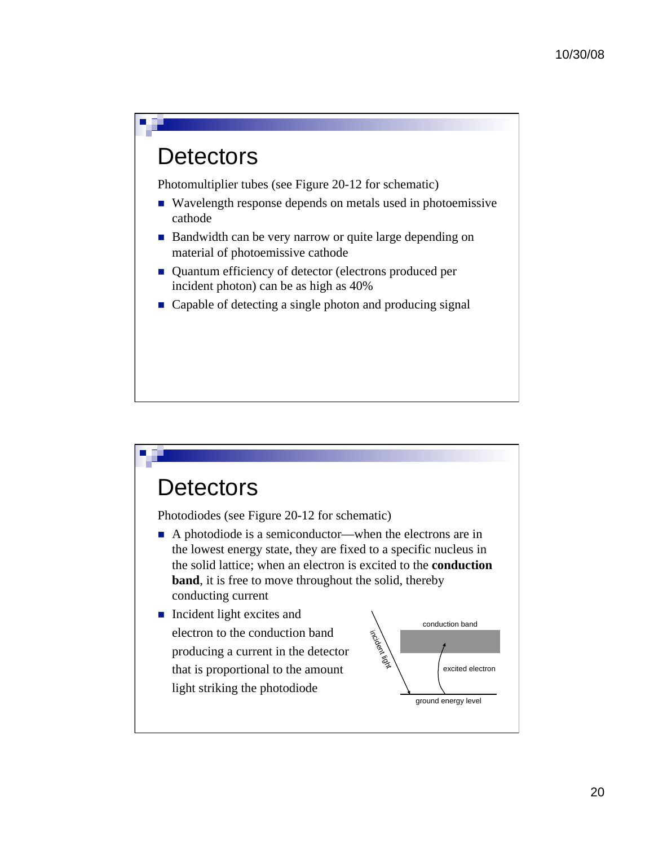#### **Detectors**

П

Photomultiplier tubes (see Figure 20-12 for schematic)

- Wavelength response depends on metals used in photoemissive cathode
- Bandwidth can be very narrow or quite large depending on material of photoemissive cathode
- Quantum efficiency of detector (electrons produced per incident photon) can be as high as 40%
- Capable of detecting a single photon and producing signal

#### **Detectors**

Photodiodes (see Figure 20-12 for schematic)

- A photodiode is a semiconductor—when the electrons are in the lowest energy state, they are fixed to a specific nucleus in the solid lattice; when an electron is excited to the **conduction band**, it is free to move throughout the solid, thereby conducting current
- Incident light excites and electron to the conduction band producing a current in the detector that is proportional to the amount light striking the photodiode

![](_page_19_Figure_11.jpeg)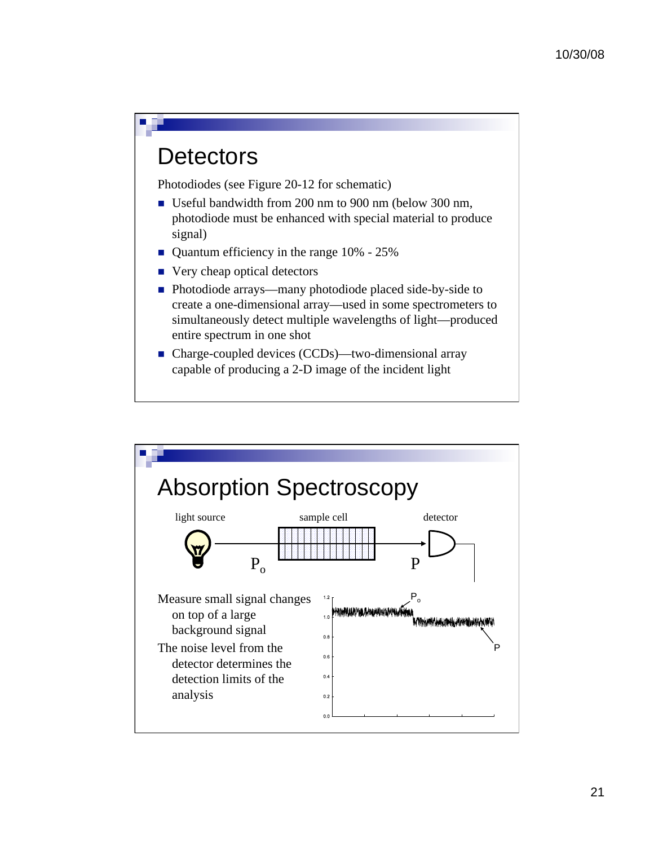#### **Detectors**

П

Photodiodes (see Figure 20-12 for schematic)

- Useful bandwidth from 200 nm to 900 nm (below 300 nm, photodiode must be enhanced with special material to produce signal)
- Quantum efficiency in the range 10% 25%
- Very cheap optical detectors
- Photodiode arrays—many photodiode placed side-by-side to create a one-dimensional array—used in some spectrometers to simultaneously detect multiple wavelengths of light—produced entire spectrum in one shot
- Charge-coupled devices (CCDs)—two-dimensional array capable of producing a 2-D image of the incident light

![](_page_20_Figure_8.jpeg)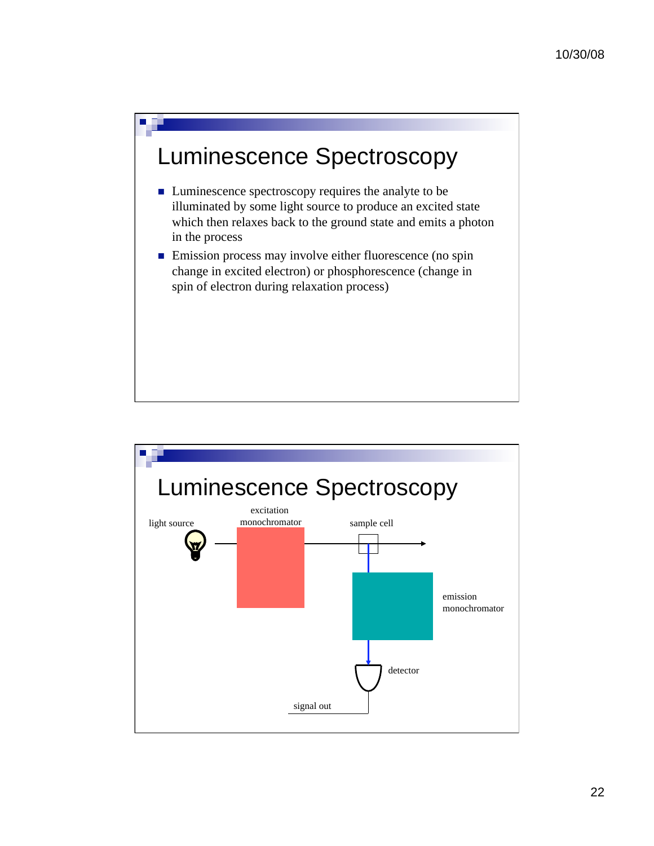![](_page_21_Figure_1.jpeg)

П

- Luminescence spectroscopy requires the analyte to be illuminated by some light source to produce an excited state which then relaxes back to the ground state and emits a photon in the process
- **Emission process may involve either fluorescence (no spin** change in excited electron) or phosphorescence (change in spin of electron during relaxation process)

![](_page_21_Figure_4.jpeg)